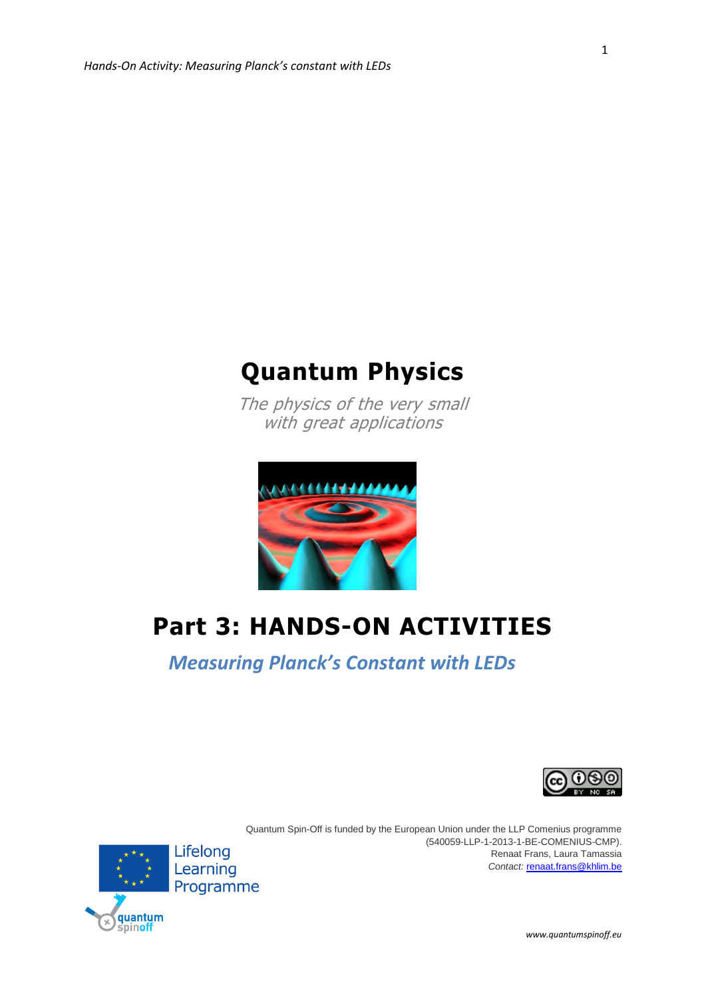

The physics of the very small with great applications



# **Part 3: HANDS-ON ACTIVITIES**

*Measuring Planck's Constant with LEDs*





Quantum Spin-Off is funded by the European Union under the LLP Comenius programme (540059-LLP-1-2013-1-BE-COMENIUS-CMP). Renaat Frans, Laura Tamassia *Contact:* [renaat.frans@khlim.be](mailto:renaat.frans@khlim.be)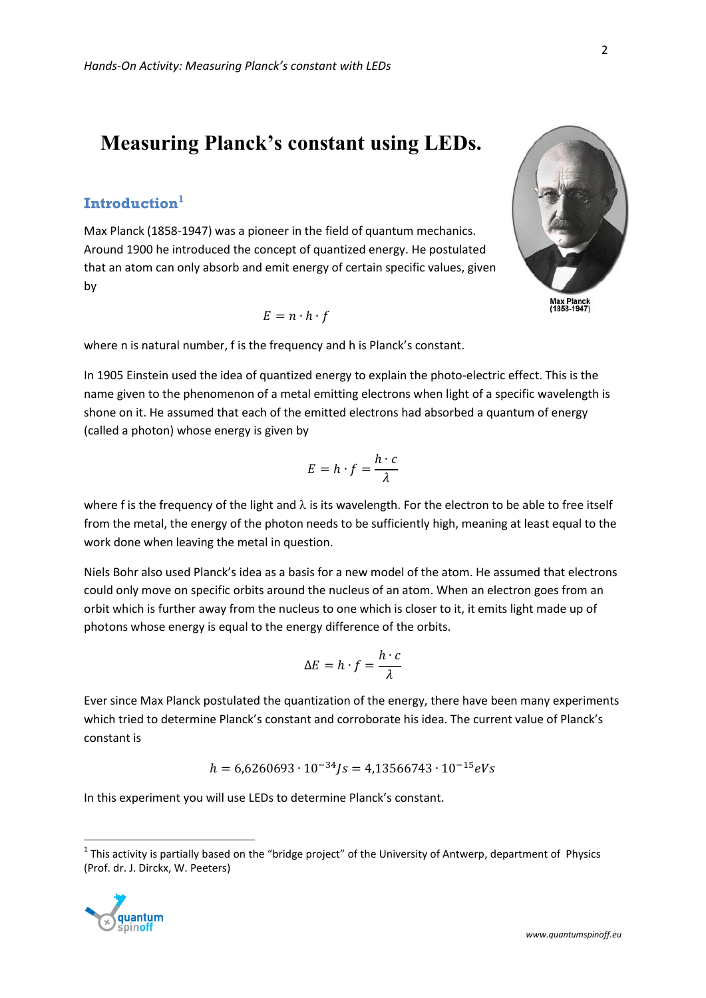# **Measuring Planck's constant using LEDs.**

# **Introduction<sup>1</sup>**

Max Planck (1858-1947) was a pioneer in the field of quantum mechanics. Around 1900 he introduced the concept of quantized energy. He postulated that an atom can only absorb and emit energy of certain specific values, given by

$$
E = n \cdot h \cdot f
$$

Max Planck<br>(1858-1947)

$$
r = n \cdot h \cdot f
$$

where n is natural number, f is the frequency and h is Planck's constant.

In 1905 Einstein used the idea of quantized energy to explain the photo-electric effect. This is the name given to the phenomenon of a metal emitting electrons when light of a specific wavelength is shone on it. He assumed that each of the emitted electrons had absorbed a quantum of energy (called a photon) whose energy is given by

$$
E = h \cdot f = \frac{h \cdot c}{\lambda}
$$

where f is the frequency of the light and  $\lambda$  is its wavelength. For the electron to be able to free itself from the metal, the energy of the photon needs to be sufficiently high, meaning at least equal to the work done when leaving the metal in question.

Niels Bohr also used Planck's idea as a basis for a new model of the atom. He assumed that electrons could only move on specific orbits around the nucleus of an atom. When an electron goes from an orbit which is further away from the nucleus to one which is closer to it, it emits light made up of photons whose energy is equal to the energy difference of the orbits.

$$
\Delta E = h \cdot f = \frac{h \cdot c}{\lambda}
$$

Ever since Max Planck postulated the quantization of the energy, there have been many experiments which tried to determine Planck's constant and corroborate his idea. The current value of Planck's constant is

$$
h = 6{,}6260693 \cdot 10^{-34} Js = 4{,}13566743 \cdot 10^{-15} eVs
$$

In this experiment you will use LEDs to determine Planck's constant.

 $^1$  This activity is partially based on the "bridge project" of the University of Antwerp, department of Physics (Prof. dr. J. Dirckx, W. Peeters)



 $\overline{a}$ 

2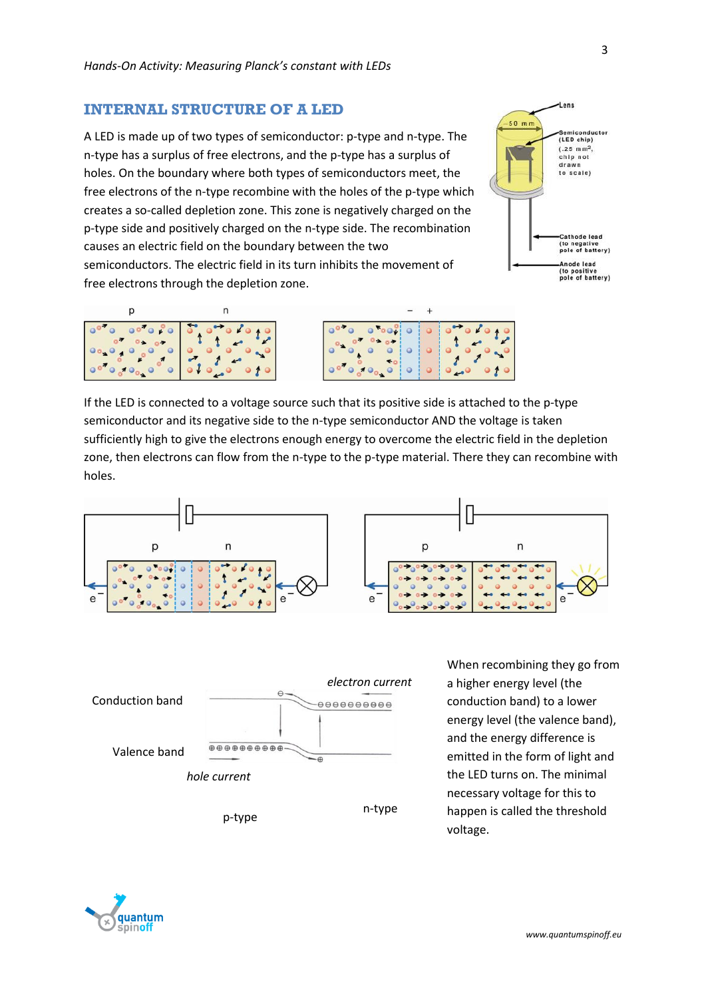#### **INTERNAL STRUCTURE OF A LED**

A LED is made up of two types of semiconductor: p-type and n-type. The n-type has a surplus of free electrons, and the p-type has a surplus of holes. On the boundary where both types of semiconductors meet, the free electrons of the n-type recombine with the holes of the p-type which creates a so-called depletion zone. This zone is negatively charged on the p-type side and positively charged on the n-type side. The recombination causes an electric field on the boundary between the two

semiconductors. The electric field in its turn inhibits the movement of free electrons through the depletion zone.





If the LED is connected to a voltage source such that its positive side is attached to the p-type semiconductor and its negative side to the n-type semiconductor AND the voltage is taken sufficiently high to give the electrons enough energy to overcome the electric field in the depletion zone, then electrons can flow from the n-type to the p-type material. There they can recombine with holes.







When recombining they go from a higher energy level (the conduction band) to a lower energy level (the valence band), and the energy difference is emitted in the form of light and the LED turns on. The minimal necessary voltage for this to happen is called the threshold voltage.



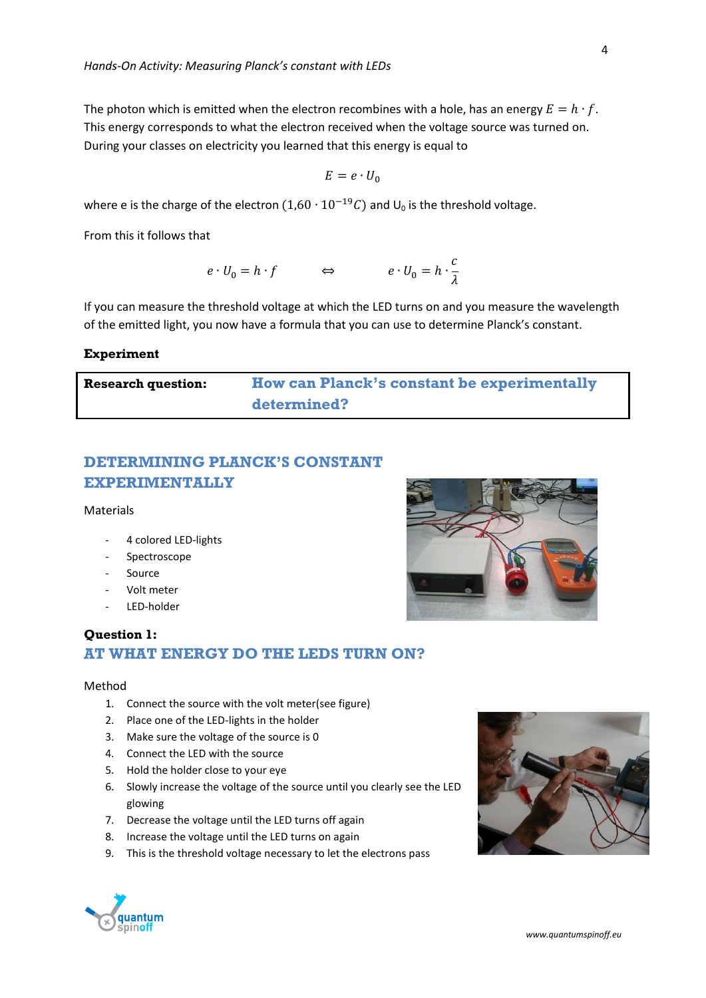The photon which is emitted when the electron recombines with a hole, has an energy  $E = h \cdot f$ . This energy corresponds to what the electron received when the voltage source was turned on. During your classes on electricity you learned that this energy is equal to

$$
E = e \cdot U_0
$$

where e is the charge of the electron  $(1,60 \cdot 10^{-19}C)$  and  $U_0$  is the threshold voltage.

From this it follows that

$$
e \cdot U_0 = h \cdot f \qquad \qquad \Leftrightarrow \qquad \qquad e \cdot U_0 = h \cdot \frac{c}{\lambda}
$$

If you can measure the threshold voltage at which the LED turns on and you measure the wavelength of the emitted light, you now have a formula that you can use to determine Planck's constant.

#### **Experiment**

**Research question: How can Planck's constant be experimentally determined?**

# **DETERMINING PLANCK'S CONSTANT EXPERIMENTALLY**

#### Materials

- 4 colored LED-lights
- Spectroscope
- **Source**
- Volt meter
- LED-holder

### **Question 1: AT WHAT ENERGY DO THE LEDS TURN ON?**

#### Method

- 1. Connect the source with the volt meter(see figure)
- 2. Place one of the LED-lights in the holder
- 3. Make sure the voltage of the source is 0
- 4. Connect the LED with the source
- 5. Hold the holder close to your eye
- 6. Slowly increase the voltage of the source until you clearly see the LED glowing
- 7. Decrease the voltage until the LED turns off again
- 8. Increase the voltage until the LED turns on again
- 9. This is the threshold voltage necessary to let the electrons pass





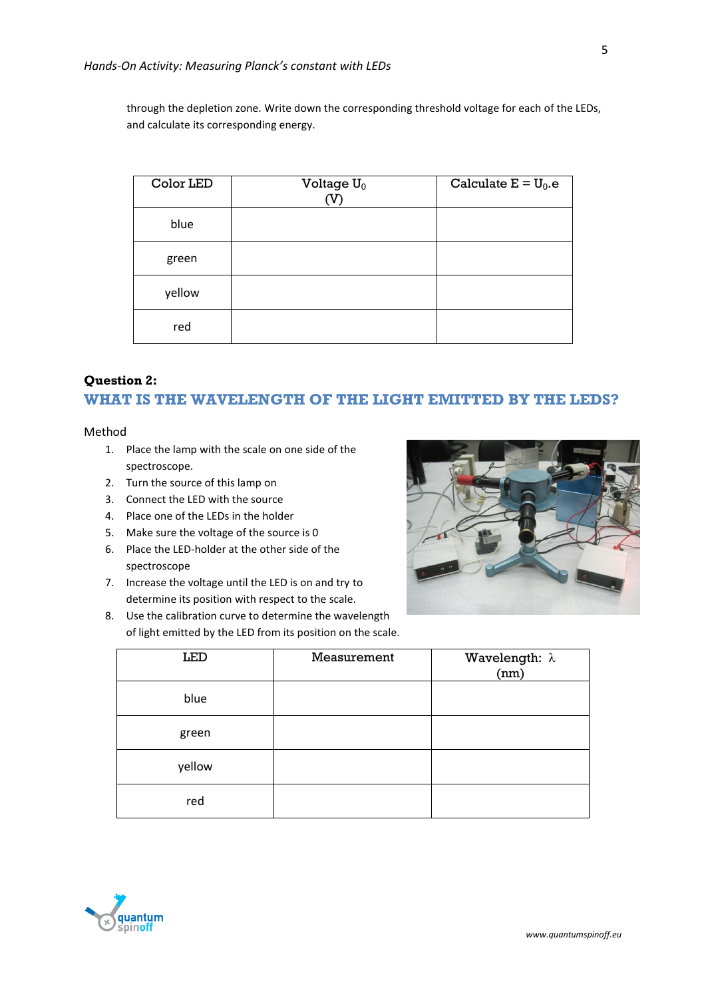through the depletion zone. Write down the corresponding threshold voltage for each of the LEDs, and calculate its corresponding energy.

| Color LED | Voltage $U_0$<br>(V) | Calculate $E = U_0$ .e |
|-----------|----------------------|------------------------|
| blue      |                      |                        |
| green     |                      |                        |
| yellow    |                      |                        |
| red       |                      |                        |

#### **Question 2:**

## **WHAT IS THE WAVELENGTH OF THE LIGHT EMITTED BY THE LEDS?**

#### Method

- 1. Place the lamp with the scale on one side of the spectroscope.
- 2. Turn the source of this lamp on
- 3. Connect the LED with the source
- 4. Place one of the LEDs in the holder
- 5. Make sure the voltage of the source is 0
- 6. Place the LED-holder at the other side of the spectroscope
- 7. Increase the voltage until the LED is on and try to determine its position with respect to the scale.
- 8. Use the calibration curve to determine the wavelength of light emitted by the LED from its position on the scale.



| <b>LED</b> | Measurement | Wavelength: $\lambda$<br>(nm) |
|------------|-------------|-------------------------------|
| blue       |             |                               |
| green      |             |                               |
| yellow     |             |                               |
| red        |             |                               |